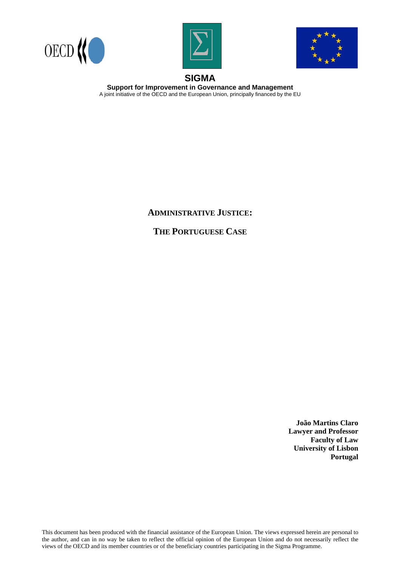





# **SIGMA**

**Support for Improvement in Governance and Management**  A joint initiative of the OECD and the European Union, principally financed by the EU

# **ADMINISTRATIVE JUSTICE:**

**THE PORTUGUESE CASE**

**João Martins Claro Lawyer and Professor Faculty of Law University of Lisbon Portugal** 

This document has been produced with the financial assistance of the European Union. The views expressed herein are personal to the author, and can in no way be taken to reflect the official opinion of the European Union and do not necessarily reflect the views of the OECD and its member countries or of the beneficiary countries participating in the Sigma Programme.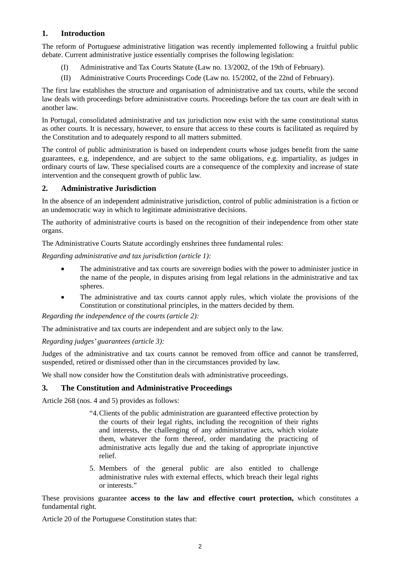# **1. Introduction**

The reform of Portuguese administrative litigation was recently implemented following a fruitful public debate. Current administrative justice essentially comprises the following legislation:

- (I) Administrative and Tax Courts Statute (Law no. 13/2002, of the 19th of February).
- (II) Administrative Courts Proceedings Code (Law no. 15/2002, of the 22nd of February).

The first law establishes the structure and organisation of administrative and tax courts, while the second law deals with proceedings before administrative courts. Proceedings before the tax court are dealt with in another law.

In Portugal, consolidated administrative and tax jurisdiction now exist with the same constitutional status as other courts. It is necessary, however, to ensure that access to these courts is facilitated as required by the Constitution and to adequately respond to all matters submitted.

The control of public administration is based on independent courts whose judges benefit from the same guarantees, e.g. independence, and are subject to the same obligations, e.g. impartiality, as judges in ordinary courts of law. These specialised courts are a consequence of the complexity and increase of state intervention and the consequent growth of public law.

#### **2. Administrative Jurisdiction**

In the absence of an independent administrative jurisdiction, control of public administration is a fiction or an undemocratic way in which to legitimate administrative decisions.

The authority of administrative courts is based on the recognition of their independence from other state organs.

The Administrative Courts Statute accordingly enshrines three fundamental rules:

*Regarding administrative and tax jurisdiction (article 1):* 

- The administrative and tax courts are sovereign bodies with the power to administer justice in the name of the people, in disputes arising from legal relations in the administrative and tax spheres.
- The administrative and tax courts cannot apply rules, which violate the provisions of the Constitution or constitutional principles, in the matters decided by them.

*Regarding the independence of the courts (article 2):* 

The administrative and tax courts are independent and are subject only to the law.

*Regarding judges' guarantees (article 3):* 

Judges of the administrative and tax courts cannot be removed from office and cannot be transferred, suspended, retired or dismissed other than in the circumstances provided by law.

We shall now consider how the Constitution deals with administrative proceedings.

#### **3. The Constitution and Administrative Proceedings**

Article 268 (nos. 4 and 5) provides as follows:

- "4. Clients of the public administration are guaranteed effective protection by the courts of their legal rights, including the recognition of their rights and interests, the challenging of any administrative acts, which violate them, whatever the form thereof, order mandating the practicing of administrative acts legally due and the taking of appropriate injunctive relief.
- 5. Members of the general public are also entitled to challenge administrative rules with external effects, which breach their legal rights or interests."

These provisions guarantee **access to the law and effective court protection,** which constitutes a fundamental right.

Article 20 of the Portuguese Constitution states that: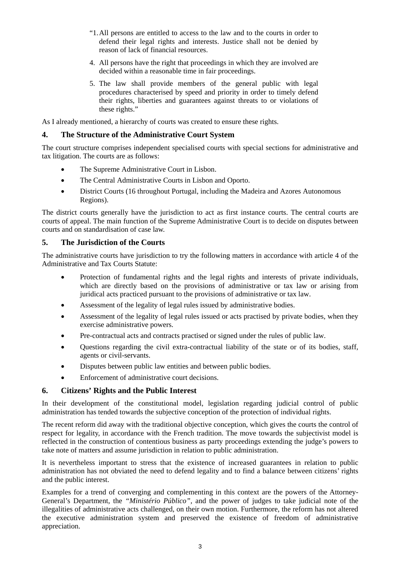- "1. All persons are entitled to access to the law and to the courts in order to defend their legal rights and interests. Justice shall not be denied by reason of lack of financial resources.
- 4. All persons have the right that proceedings in which they are involved are decided within a reasonable time in fair proceedings.
- 5. The law shall provide members of the general public with legal procedures characterised by speed and priority in order to timely defend their rights, liberties and guarantees against threats to or violations of these rights."

As I already mentioned, a hierarchy of courts was created to ensure these rights.

# **4. The Structure of the Administrative Court System**

The court structure comprises independent specialised courts with special sections for administrative and tax litigation. The courts are as follows:

- The Supreme Administrative Court in Lisbon.
- The Central Administrative Courts in Lisbon and Oporto.
- District Courts (16 throughout Portugal, including the Madeira and Azores Autonomous Regions).

The district courts generally have the jurisdiction to act as first instance courts. The central courts are courts of appeal. The main function of the Supreme Administrative Court is to decide on disputes between courts and on standardisation of case law.

# **5. The Jurisdiction of the Courts**

The administrative courts have jurisdiction to try the following matters in accordance with article 4 of the Administrative and Tax Courts Statute:

- Protection of fundamental rights and the legal rights and interests of private individuals, which are directly based on the provisions of administrative or tax law or arising from juridical acts practiced pursuant to the provisions of administrative or tax law.
- Assessment of the legality of legal rules issued by administrative bodies.
- Assessment of the legality of legal rules issued or acts practised by private bodies, when they exercise administrative powers.
- Pre-contractual acts and contracts practised or signed under the rules of public law.
- Questions regarding the civil extra-contractual liability of the state or of its bodies, staff, agents or civil-servants.
- Disputes between public law entities and between public bodies.
- Enforcement of administrative court decisions.

# **6. Citizens' Rights and the Public Interest**

In their development of the constitutional model, legislation regarding judicial control of public administration has tended towards the subjective conception of the protection of individual rights.

The recent reform did away with the traditional objective conception, which gives the courts the control of respect for legality, in accordance with the French tradition. The move towards the subjectivist model is reflected in the construction of contentious business as party proceedings extending the judge's powers to take note of matters and assume jurisdiction in relation to public administration.

It is nevertheless important to stress that the existence of increased guarantees in relation to public administration has not obviated the need to defend legality and to find a balance between citizens' rights and the public interest.

Examples for a trend of converging and complementing in this context are the powers of the Attorney-General's Department, the *"Ministério Público",* and the power of judges to take judicial note of the illegalities of administrative acts challenged, on their own motion. Furthermore, the reform has not altered the executive administration system and preserved the existence of freedom of administrative appreciation.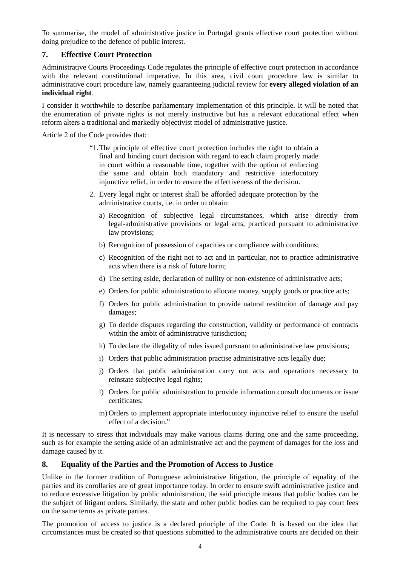To summarise, the model of administrative justice in Portugal grants effective court protection without doing prejudice to the defence of public interest.

# **7. Effective Court Protection**

Administrative Courts Proceedings Code regulates the principle of effective court protection in accordance with the relevant constitutional imperative. In this area, civil court procedure law is similar to administrative court procedure law, namely guaranteeing judicial review for **every alleged violation of an individual right**.

I consider it worthwhile to describe parliamentary implementation of this principle. It will be noted that the enumeration of private rights is not merely instructive but has a relevant educational effect when reform alters a traditional and markedly objectivist model of administrative justice.

Article 2 of the Code provides that:

- "1. The principle of effective court protection includes the right to obtain a final and binding court decision with regard to each claim properly made in court within a reasonable time, together with the option of enforcing the same and obtain both mandatory and restrictive interlocutory injunctive relief, in order to ensure the effectiveness of the decision.
- 2. Every legal right or interest shall be afforded adequate protection by the administrative courts, i.e. in order to obtain:
	- a) Recognition of subjective legal circumstances, which arise directly from legal-administrative provisions or legal acts, practiced pursuant to administrative law provisions;
	- b) Recognition of possession of capacities or compliance with conditions;
	- c) Recognition of the right not to act and in particular, not to practice administrative acts when there is a risk of future harm;
	- d) The setting aside, declaration of nullity or non-existence of administrative acts;
	- e) Orders for public administration to allocate money, supply goods or practice acts;
	- f) Orders for public administration to provide natural restitution of damage and pay damages;
	- g) To decide disputes regarding the construction, validity or performance of contracts within the ambit of administrative jurisdiction;
	- h) To declare the illegality of rules issued pursuant to administrative law provisions;
	- i) Orders that public administration practise administrative acts legally due;
	- j) Orders that public administration carry out acts and operations necessary to reinstate subjective legal rights;
	- l) Orders for public administration to provide information consult documents or issue certificates;
	- m) Orders to implement appropriate interlocutory injunctive relief to ensure the useful effect of a decision."

It is necessary to stress that individuals may make various claims during one and the same proceeding, such as for example the setting aside of an administrative act and the payment of damages for the loss and damage caused by it.

# **8. Equality of the Parties and the Promotion of Access to Justice**

Unlike in the former tradition of Portuguese administrative litigation, the principle of equality of the parties and its corollaries are of great importance today. In order to ensure swift administrative justice and to reduce excessive litigation by public administration, the said principle means that public bodies can be the subject of litigant orders. Similarly, the state and other public bodies can be required to pay court fees on the same terms as private parties.

The promotion of access to justice is a declared principle of the Code. It is based on the idea that circumstances must be created so that questions submitted to the administrative courts are decided on their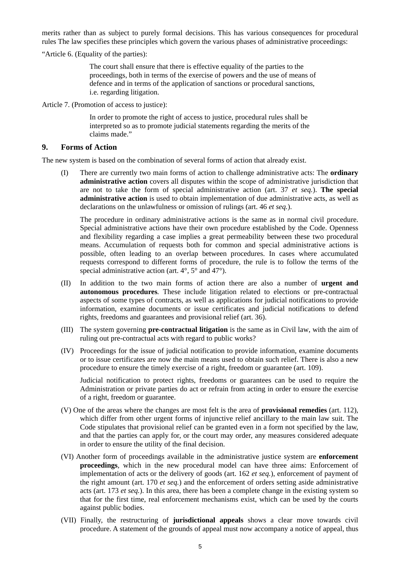merits rather than as subject to purely formal decisions. This has various consequences for procedural rules The law specifies these principles which govern the various phases of administrative proceedings:

"Article 6. (Equality of the parties):

The court shall ensure that there is effective equality of the parties to the proceedings, both in terms of the exercise of powers and the use of means of defence and in terms of the application of sanctions or procedural sanctions, i.e. regarding litigation.

Article 7. (Promotion of access to justice):

In order to promote the right of access to justice, procedural rules shall be interpreted so as to promote judicial statements regarding the merits of the claims made."

#### **9. Forms of Action**

The new system is based on the combination of several forms of action that already exist.

(I) There are currently two main forms of action to challenge administrative acts: The **ordinary administrative action** covers all disputes within the scope of administrative jurisdiction that are not to take the form of special administrative action (art. 37 *et seq.*). **The special administrative action** is used to obtain implementation of due administrative acts, as well as declarations on the unlawfulness or omission of rulings (art. 46 *et seq.*).

The procedure in ordinary administrative actions is the same as in normal civil procedure. Special administrative actions have their own procedure established by the Code. Openness and flexibility regarding a case implies a great permeability between these two procedural means. Accumulation of requests both for common and special administrative actions is possible, often leading to an overlap between procedures. In cases where accumulated requests correspond to different forms of procedure, the rule is to follow the terms of the special administrative action (art.  $4^{\circ}$ ,  $5^{\circ}$  and  $47^{\circ}$ ).

- (II) In addition to the two main forms of action there are also a number of **urgent and autonomous procedures***.* These include litigation related to elections or pre-contractual aspects of some types of contracts, as well as applications for judicial notifications to provide information, examine documents or issue certificates and judicial notifications to defend rights, freedoms and guarantees and provisional relief (art. 36).
- (III) The system governing **pre-contractual litigation** is the same as in Civil law, with the aim of ruling out pre-contractual acts with regard to public works?
- (IV) Proceedings for the issue of judicial notification to provide information, examine documents or to issue certificates are now the main means used to obtain such relief. There is also a new procedure to ensure the timely exercise of a right, freedom or guarantee (art. 109).

Judicial notification to protect rights, freedoms or guarantees can be used to require the Administration or private parties do act or refrain from acting in order to ensure the exercise of a right, freedom or guarantee.

- (V) One of the areas where the changes are most felt is the area of **provisional remedies** (art. 112), which differ from other urgent forms of injunctive relief ancillary to the main law suit. The Code stipulates that provisional relief can be granted even in a form not specified by the law, and that the parties can apply for, or the court may order, any measures considered adequate in order to ensure the utility of the final decision.
- (VI) Another form of proceedings available in the administrative justice system are **enforcement proceedings***,* which in the new procedural model can have three aims: Enforcement of implementation of acts or the delivery of goods (art. 162 *et seq.*), enforcement of payment of the right amount (art. 170 *et seq.*) and the enforcement of orders setting aside administrative acts (art. 173 *et seq.*). In this area, there has been a complete change in the existing system so that for the first time, real enforcement mechanisms exist, which can be used by the courts against public bodies.
- (VII) Finally, the restructuring of **jurisdictional appeals** shows a clear move towards civil procedure. A statement of the grounds of appeal must now accompany a notice of appeal, thus